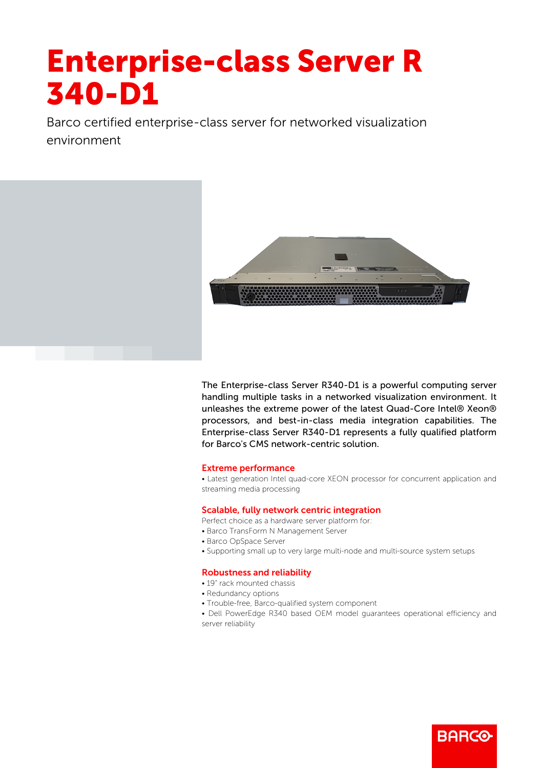# Enterprise-class Server R 340-D1

Barco certified enterprise-class server for networked visualization environment



The Enterprise-class Server R340-D1 is a powerful computing server handling multiple tasks in a networked visualization environment. It unleashes the extreme power of the latest Quad-Core Intel® Xeon® processors, and best-in-class media integration capabilities. The Enterprise-class Server R340-D1 represents a fully qualified platform for Barco's CMS network-centric solution.

### Extreme performance

• Latest generation Intel quad-core XEON processor for concurrent application and streaming media processing

## Scalable, fully network centric integration

- Perfect choice as a hardware server platform for:
- Barco TransForm N Management Server
- Barco OpSpace Server
- Supporting small up to very large multi-node and multi-source system setups

### Robustness and reliability

- 19" rack mounted chassis
- Redundancy options
- Trouble-free, Barco-qualified system component
- Dell PowerEdge R340 based OEM model guarantees operational efficiency and server reliability

**BARGG**